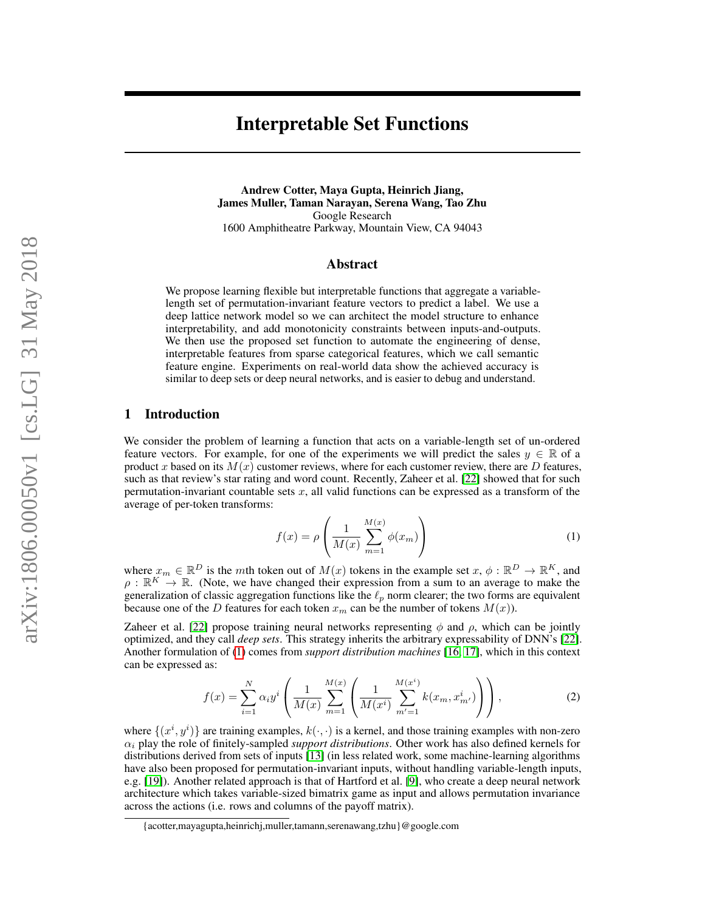# Interpretable Set Functions

Andrew Cotter, Maya Gupta, Heinrich Jiang, James Muller, Taman Narayan, Serena Wang, Tao Zhu Google Research 1600 Amphitheatre Parkway, Mountain View, CA 94043

### Abstract

We propose learning flexible but interpretable functions that aggregate a variablelength set of permutation-invariant feature vectors to predict a label. We use a deep lattice network model so we can architect the model structure to enhance interpretability, and add monotonicity constraints between inputs-and-outputs. We then use the proposed set function to automate the engineering of dense, interpretable features from sparse categorical features, which we call semantic feature engine. Experiments on real-world data show the achieved accuracy is similar to deep sets or deep neural networks, and is easier to debug and understand.

### 1 Introduction

We consider the problem of learning a function that acts on a variable-length set of un-ordered feature vectors. For example, for one of the experiments we will predict the sales  $y \in \mathbb{R}$  of a product x based on its  $M(x)$  customer reviews, where for each customer review, there are D features, such as that review's star rating and word count. Recently, Zaheer et al. [\[22\]](#page-8-0) showed that for such permutation-invariant countable sets  $x$ , all valid functions can be expressed as a transform of the average of per-token transforms:

<span id="page-0-0"></span>
$$
f(x) = \rho \left( \frac{1}{M(x)} \sum_{m=1}^{M(x)} \phi(x_m) \right)
$$
 (1)

where  $x_m \in \mathbb{R}^D$  is the mth token out of  $M(x)$  tokens in the example set  $x, \phi : \mathbb{R}^D \to \mathbb{R}^K$ , and  $\rho : \mathbb{R}^K \to \mathbb{R}$ . (Note, we have changed their expression from a sum to an average to make the generalization of classic aggregation functions like the  $\ell_p$  norm clearer; the two forms are equivalent because one of the D features for each token  $x_m$  can be the number of tokens  $M(x)$ ).

Zaheer et al. [\[22\]](#page-8-0) propose training neural networks representing  $\phi$  and  $\rho$ , which can be jointly optimized, and they call *deep sets*. This strategy inherits the arbitrary expressability of DNN's [\[22\]](#page-8-0). Another formulation of [\(1\)](#page-0-0) comes from *support distribution machines* [\[16,](#page-8-1) [17\]](#page-8-2), which in this context can be expressed as:

$$
f(x) = \sum_{i=1}^{N} \alpha_i y^i \left( \frac{1}{M(x)} \sum_{m=1}^{M(x)} \left( \frac{1}{M(x^i)} \sum_{m'=1}^{M(x^i)} k(x_m, x^i_{m'}) \right) \right),
$$
 (2)

where  $\{(x^i, y^i)\}$  are training examples,  $k(\cdot, \cdot)$  is a kernel, and those training examples with non-zero  $\alpha_i$  play the role of finitely-sampled *support distributions*. Other work has also defined kernels for distributions derived from sets of inputs [\[13\]](#page-8-3) (in less related work, some machine-learning algorithms have also been proposed for permutation-invariant inputs, without handling variable-length inputs, e.g. [\[19\]](#page-8-4)). Another related approach is that of Hartford et al. [\[9\]](#page-8-5), who create a deep neural network architecture which takes variable-sized bimatrix game as input and allows permutation invariance across the actions (i.e. rows and columns of the payoff matrix).

<sup>{</sup>acotter,mayagupta,heinrichj,muller,tamann,serenawang,tzhu}@google.com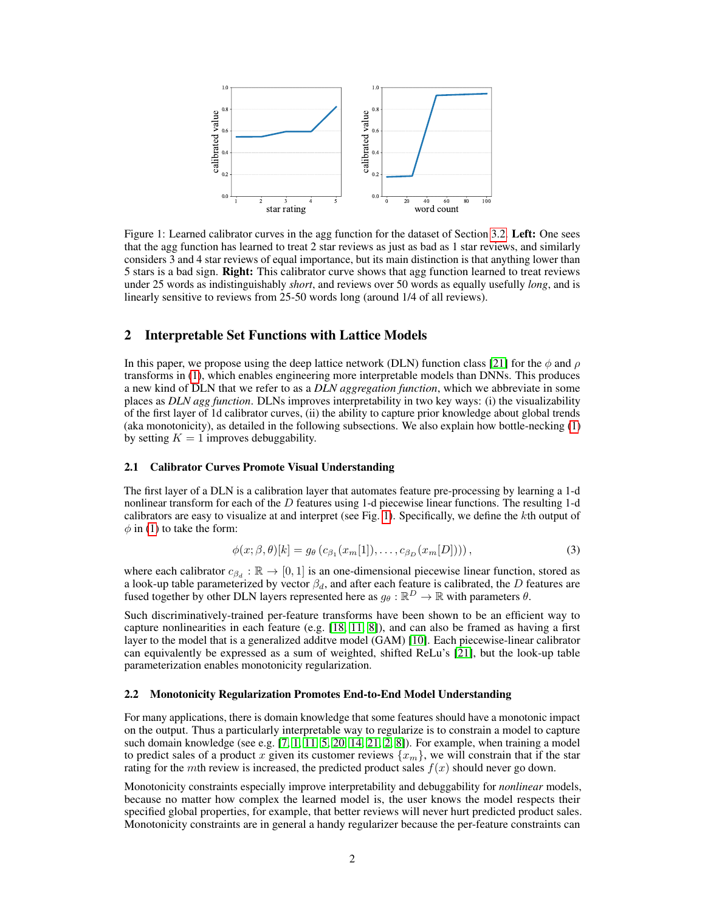<span id="page-1-0"></span>

Figure 1: Learned calibrator curves in the agg function for the dataset of Section [3.2.](#page-3-0) Left: One sees that the agg function has learned to treat 2 star reviews as just as bad as 1 star reviews, and similarly considers 3 and 4 star reviews of equal importance, but its main distinction is that anything lower than 5 stars is a bad sign. Right: This calibrator curve shows that agg function learned to treat reviews under 25 words as indistinguishably *short*, and reviews over 50 words as equally usefully *long*, and is linearly sensitive to reviews from 25-50 words long (around 1/4 of all reviews).

## 2 Interpretable Set Functions with Lattice Models

In this paper, we propose using the deep lattice network (DLN) function class [\[21\]](#page-8-6) for the  $\phi$  and  $\rho$ transforms in [\(1\)](#page-0-0), which enables engineering more interpretable models than DNNs. This produces a new kind of DLN that we refer to as a *DLN aggregation function*, which we abbreviate in some places as *DLN agg function*. DLNs improves interpretability in two key ways: (i) the visualizability of the first layer of 1d calibrator curves, (ii) the ability to capture prior knowledge about global trends (aka monotonicity), as detailed in the following subsections. We also explain how bottle-necking [\(1\)](#page-0-0) by setting  $K = 1$  improves debuggability.

#### 2.1 Calibrator Curves Promote Visual Understanding

The first layer of a DLN is a calibration layer that automates feature pre-processing by learning a 1-d nonlinear transform for each of the D features using 1-d piecewise linear functions. The resulting 1-d calibrators are easy to visualize at and interpret (see Fig. [1\)](#page-1-0). Specifically, we define the kth output of  $\phi$  in [\(1\)](#page-0-0) to take the form:

<span id="page-1-1"></span>
$$
\phi(x;\beta,\theta)[k] = g_{\theta}\left(c_{\beta_1}(x_m[1]),\ldots,c_{\beta_D}(x_m[D])\right),\tag{3}
$$

where each calibrator  $c_{\beta_d} : \mathbb{R} \to [0, 1]$  is an one-dimensional piecewise linear function, stored as a look-up table parameterized by vector  $\beta_d$ , and after each feature is calibrated, the  $D$  features are fused together by other DLN layers represented here as  $g_\theta : \mathbb{R}^D \to \mathbb{R}$  with parameters  $\theta$ .

Such discriminatively-trained per-feature transforms have been shown to be an efficient way to capture nonlinearities in each feature (e.g.  $[18, 11, 8]$  $[18, 11, 8]$  $[18, 11, 8]$  $[18, 11, 8]$  $[18, 11, 8]$ ), and can also be framed as having a first layer to the model that is a generalized additve model (GAM) [\[10\]](#page-8-10). Each piecewise-linear calibrator can equivalently be expressed as a sum of weighted, shifted ReLu's [\[21\]](#page-8-6), but the look-up table parameterization enables monotonicity regularization.

#### 2.2 Monotonicity Regularization Promotes End-to-End Model Understanding

For many applications, there is domain knowledge that some features should have a monotonic impact on the output. Thus a particularly interpretable way to regularize is to constrain a model to capture such domain knowledge (see e.g.  $[7, 1, 11, 5, 20, 14, 21, 2, 8]$  $[7, 1, 11, 5, 20, 14, 21, 2, 8]$  $[7, 1, 11, 5, 20, 14, 21, 2, 8]$  $[7, 1, 11, 5, 20, 14, 21, 2, 8]$  $[7, 1, 11, 5, 20, 14, 21, 2, 8]$  $[7, 1, 11, 5, 20, 14, 21, 2, 8]$  $[7, 1, 11, 5, 20, 14, 21, 2, 8]$  $[7, 1, 11, 5, 20, 14, 21, 2, 8]$  $[7, 1, 11, 5, 20, 14, 21, 2, 8]$  $[7, 1, 11, 5, 20, 14, 21, 2, 8]$  $[7, 1, 11, 5, 20, 14, 21, 2, 8]$  $[7, 1, 11, 5, 20, 14, 21, 2, 8]$  $[7, 1, 11, 5, 20, 14, 21, 2, 8]$  $[7, 1, 11, 5, 20, 14, 21, 2, 8]$  $[7, 1, 11, 5, 20, 14, 21, 2, 8]$  $[7, 1, 11, 5, 20, 14, 21, 2, 8]$  $[7, 1, 11, 5, 20, 14, 21, 2, 8]$ ). For example, when training a model to predict sales of a product x given its customer reviews  $\{x_m\}$ , we will constrain that if the star rating for the *mth* review is increased, the predicted product sales  $f(x)$  should never go down.

Monotonicity constraints especially improve interpretability and debuggability for *nonlinear* models, because no matter how complex the learned model is, the user knows the model respects their specified global properties, for example, that better reviews will never hurt predicted product sales. Monotonicity constraints are in general a handy regularizer because the per-feature constraints can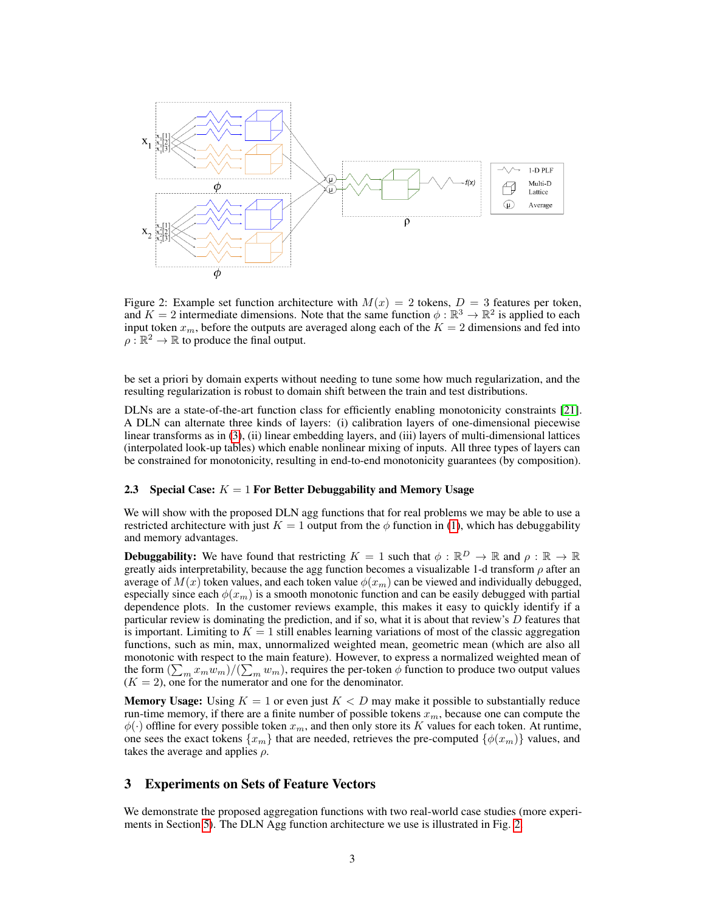<span id="page-2-0"></span>

Figure 2: Example set function architecture with  $M(x) = 2$  tokens,  $D = 3$  features per token, and  $K = 2$  intermediate dimensions. Note that the same function  $\phi : \mathbb{R}^3 \to \mathbb{R}^2$  is applied to each input token  $x_m$ , before the outputs are averaged along each of the  $K = 2$  dimensions and fed into  $\rho : \mathbb{R}^2 \to \mathbb{R}$  to produce the final output.

be set a priori by domain experts without needing to tune some how much regularization, and the resulting regularization is robust to domain shift between the train and test distributions.

DLNs are a state-of-the-art function class for efficiently enabling monotonicity constraints [\[21\]](#page-8-6). A DLN can alternate three kinds of layers: (i) calibration layers of one-dimensional piecewise linear transforms as in [\(3\)](#page-1-1), (ii) linear embedding layers, and (iii) layers of multi-dimensional lattices (interpolated look-up tables) which enable nonlinear mixing of inputs. All three types of layers can be constrained for monotonicity, resulting in end-to-end monotonicity guarantees (by composition).

### 2.3 Special Case:  $K = 1$  For Better Debuggability and Memory Usage

We will show with the proposed DLN agg functions that for real problems we may be able to use a restricted architecture with just  $K = 1$  output from the  $\phi$  function in [\(1\)](#page-0-0), which has debuggability and memory advantages.

**Debuggability:** We have found that restricting  $K = 1$  such that  $\phi : \mathbb{R}^D \to \mathbb{R}$  and  $\rho : \mathbb{R} \to \mathbb{R}$ greatly aids interpretability, because the agg function becomes a visualizable 1-d transform  $\rho$  after an average of  $M(x)$  token values, and each token value  $\phi(x_m)$  can be viewed and individually debugged, especially since each  $\phi(x_m)$  is a smooth monotonic function and can be easily debugged with partial dependence plots. In the customer reviews example, this makes it easy to quickly identify if a particular review is dominating the prediction, and if so, what it is about that review's  $D$  features that is important. Limiting to  $K = 1$  still enables learning variations of most of the classic aggregation functions, such as min, max, unnormalized weighted mean, geometric mean (which are also all monotonic with respect to the main feature). However, to express a normalized weighted mean of the form  $(\sum_m x_m w_m)/(\sum_m w_m)$ , requires the per-token  $\phi$  function to produce two output values  $(K = 2)$ , one for the numerator and one for the denominator.

**Memory Usage:** Using  $K = 1$  or even just  $K < D$  may make it possible to substantially reduce run-time memory, if there are a finite number of possible tokens  $x_m$ , because one can compute the  $\phi(\cdot)$  offline for every possible token  $x_m$ , and then only store its K values for each token. At runtime, one sees the exact tokens  $\{x_m\}$  that are needed, retrieves the pre-computed  $\{\phi(x_m)\}$  values, and takes the average and applies  $\rho$ .

# 3 Experiments on Sets of Feature Vectors

We demonstrate the proposed aggregation functions with two real-world case studies (more experiments in Section [5\)](#page-5-0). The DLN Agg function architecture we use is illustrated in Fig. [2.](#page-2-0)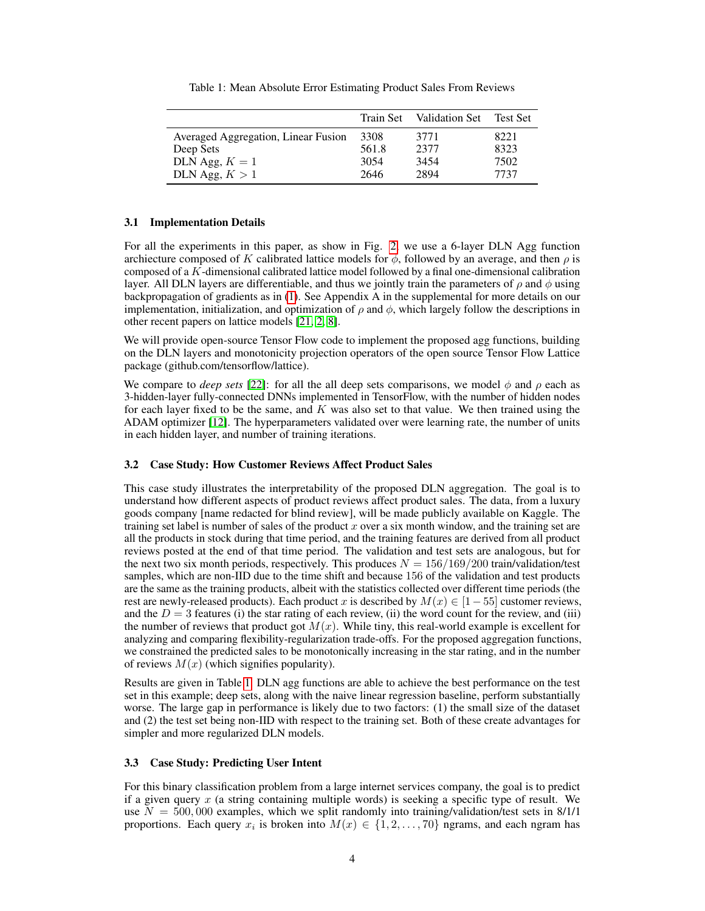<span id="page-3-1"></span>

|                                     | Train Set | Validation Set | Test Set |
|-------------------------------------|-----------|----------------|----------|
| Averaged Aggregation, Linear Fusion | 3308      | 3771           | 8221     |
| Deep Sets                           | 561.8     | 2377           | 8323     |
| DLN Agg, $K = 1$                    | 3054      | 3454           | 7502     |
| DLN Agg, $K > 1$                    | 2646      | 2894           | 7737     |

Table 1: Mean Absolute Error Estimating Product Sales From Reviews

### 3.1 Implementation Details

For all the experiments in this paper, as show in Fig. [2,](#page-2-0) we use a 6-layer DLN Agg function archiecture composed of K calibrated lattice models for  $\phi$ , followed by an average, and then  $\rho$  is composed of a K-dimensional calibrated lattice model followed by a final one-dimensional calibration layer. All DLN layers are differentiable, and thus we jointly train the parameters of  $\rho$  and  $\phi$  using backpropagation of gradients as in [\(1\)](#page-0-0). See Appendix A in the supplemental for more details on our implementation, initialization, and optimization of  $\rho$  and  $\phi$ , which largely follow the descriptions in other recent papers on lattice models [\[21,](#page-8-6) [2,](#page-8-16) [8\]](#page-8-9).

We will provide open-source Tensor Flow code to implement the proposed agg functions, building on the DLN layers and monotonicity projection operators of the open source Tensor Flow Lattice package (github.com/tensorflow/lattice).

We compare to *deep sets* [\[22\]](#page-8-0): for all the all deep sets comparisons, we model  $\phi$  and  $\rho$  each as 3-hidden-layer fully-connected DNNs implemented in TensorFlow, with the number of hidden nodes for each layer fixed to be the same, and  $K$  was also set to that value. We then trained using the ADAM optimizer [\[12\]](#page-8-17). The hyperparameters validated over were learning rate, the number of units in each hidden layer, and number of training iterations.

### <span id="page-3-0"></span>3.2 Case Study: How Customer Reviews Affect Product Sales

This case study illustrates the interpretability of the proposed DLN aggregation. The goal is to understand how different aspects of product reviews affect product sales. The data, from a luxury goods company [name redacted for blind review], will be made publicly available on Kaggle. The training set label is number of sales of the product  $x$  over a six month window, and the training set are all the products in stock during that time period, and the training features are derived from all product reviews posted at the end of that time period. The validation and test sets are analogous, but for the next two six month periods, respectively. This produces  $N = 156/169/200$  train/validation/test samples, which are non-IID due to the time shift and because 156 of the validation and test products are the same as the training products, albeit with the statistics collected over different time periods (the rest are newly-released products). Each product x is described by  $M(x) \in [1-55]$  customer reviews, and the  $D = 3$  features (i) the star rating of each review, (ii) the word count for the review, and (iii) the number of reviews that product got  $M(x)$ . While tiny, this real-world example is excellent for analyzing and comparing flexibility-regularization trade-offs. For the proposed aggregation functions, we constrained the predicted sales to be monotonically increasing in the star rating, and in the number of reviews  $M(x)$  (which signifies popularity).

Results are given in Table [1.](#page-3-1) DLN agg functions are able to achieve the best performance on the test set in this example; deep sets, along with the naive linear regression baseline, perform substantially worse. The large gap in performance is likely due to two factors: (1) the small size of the dataset and (2) the test set being non-IID with respect to the training set. Both of these create advantages for simpler and more regularized DLN models.

### 3.3 Case Study: Predicting User Intent

For this binary classification problem from a large internet services company, the goal is to predict if a given query  $x$  (a string containing multiple words) is seeking a specific type of result. We use  $N = 500,000$  examples, which we split randomly into training/validation/test sets in 8/1/1 proportions. Each query  $x_i$  is broken into  $M(x) \in \{1, 2, ..., 70\}$  ngrams, and each ngram has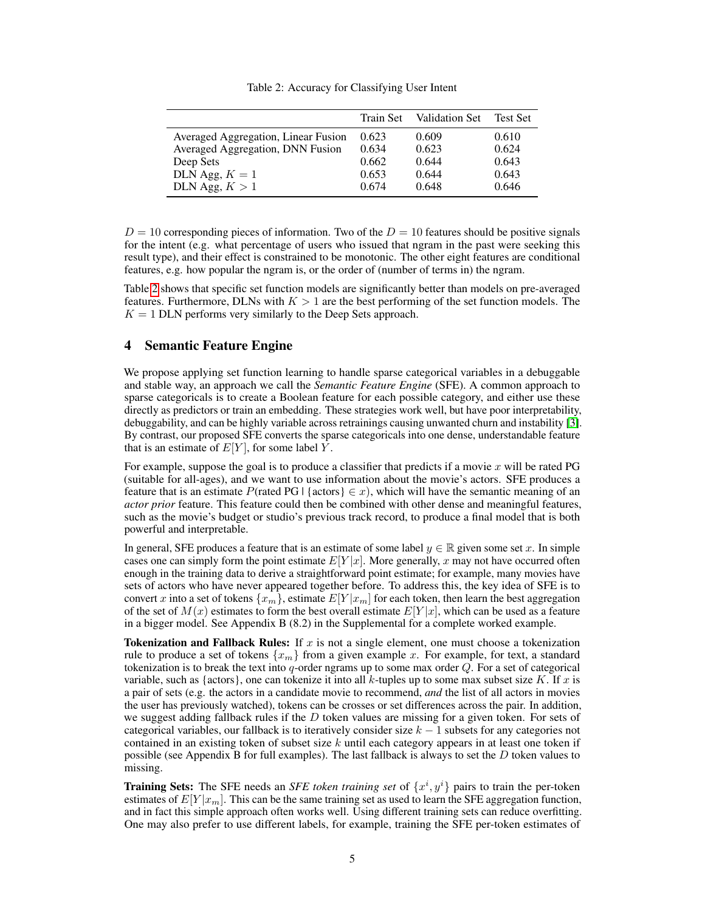<span id="page-4-0"></span>

|                                     |       | Train Set Validation Set | <b>Test Set</b> |
|-------------------------------------|-------|--------------------------|-----------------|
| Averaged Aggregation, Linear Fusion | 0.623 | 0.609                    | 0.610           |
| Averaged Aggregation, DNN Fusion    | 0.634 | 0.623                    | 0.624           |
| Deep Sets                           | 0.662 | 0.644                    | 0.643           |
| DLN Agg, $K = 1$                    | 0.653 | 0.644                    | 0.643           |
| DLN Agg, $K > 1$                    | 0.674 | 0.648                    | 0.646           |

Table 2: Accuracy for Classifying User Intent

 $D = 10$  corresponding pieces of information. Two of the  $D = 10$  features should be positive signals for the intent (e.g. what percentage of users who issued that ngram in the past were seeking this result type), and their effect is constrained to be monotonic. The other eight features are conditional features, e.g. how popular the ngram is, or the order of (number of terms in) the ngram.

Table [2](#page-4-0) shows that specific set function models are significantly better than models on pre-averaged features. Furthermore, DLNs with  $K > 1$  are the best performing of the set function models. The  $K = 1$  DLN performs very similarly to the Deep Sets approach.

# 4 Semantic Feature Engine

We propose applying set function learning to handle sparse categorical variables in a debuggable and stable way, an approach we call the *Semantic Feature Engine* (SFE). A common approach to sparse categoricals is to create a Boolean feature for each possible category, and either use these directly as predictors or train an embedding. These strategies work well, but have poor interpretability, debuggability, and can be highly variable across retrainings causing unwanted churn and instability [\[3\]](#page-8-18). By contrast, our proposed SFE converts the sparse categoricals into one dense, understandable feature that is an estimate of  $E[Y]$ , for some label Y.

For example, suppose the goal is to produce a classifier that predicts if a movie  $x$  will be rated PG (suitable for all-ages), and we want to use information about the movie's actors. SFE produces a feature that is an estimate P(rated PG | {actors}  $\in x$ ), which will have the semantic meaning of an *actor prior* feature. This feature could then be combined with other dense and meaningful features, such as the movie's budget or studio's previous track record, to produce a final model that is both powerful and interpretable.

In general, SFE produces a feature that is an estimate of some label  $y \in \mathbb{R}$  given some set x. In simple cases one can simply form the point estimate  $E[Y|x]$ . More generally, x may not have occurred often enough in the training data to derive a straightforward point estimate; for example, many movies have sets of actors who have never appeared together before. To address this, the key idea of SFE is to convert x into a set of tokens  $\{x_m\}$ , estimate  $E[Y|x_m]$  for each token, then learn the best aggregation of the set of  $M(x)$  estimates to form the best overall estimate  $E[Y|x]$ , which can be used as a feature in a bigger model. See Appendix B (8.2) in the Supplemental for a complete worked example.

**Tokenization and Fallback Rules:** If x is not a single element, one must choose a tokenization rule to produce a set of tokens  $\{x_m\}$  from a given example x. For example, for text, a standard tokenization is to break the text into q-order ngrams up to some max order  $Q$ . For a set of categorical variable, such as {actors}, one can tokenize it into all k-tuples up to some max subset size K. If x is a pair of sets (e.g. the actors in a candidate movie to recommend, *and* the list of all actors in movies the user has previously watched), tokens can be crosses or set differences across the pair. In addition, we suggest adding fallback rules if the  $D$  token values are missing for a given token. For sets of categorical variables, our fallback is to iteratively consider size  $k - 1$  subsets for any categories not contained in an existing token of subset size k until each category appears in at least one token if possible (see Appendix B for full examples). The last fallback is always to set the  $D$  token values to missing.

**Training Sets:** The SFE needs an *SFE token training set* of  $\{x^i, y^i\}$  pairs to train the per-token estimates of  $E[Y|x_m]$ . This can be the same training set as used to learn the SFE aggregation function, and in fact this simple approach often works well. Using different training sets can reduce overfitting. One may also prefer to use different labels, for example, training the SFE per-token estimates of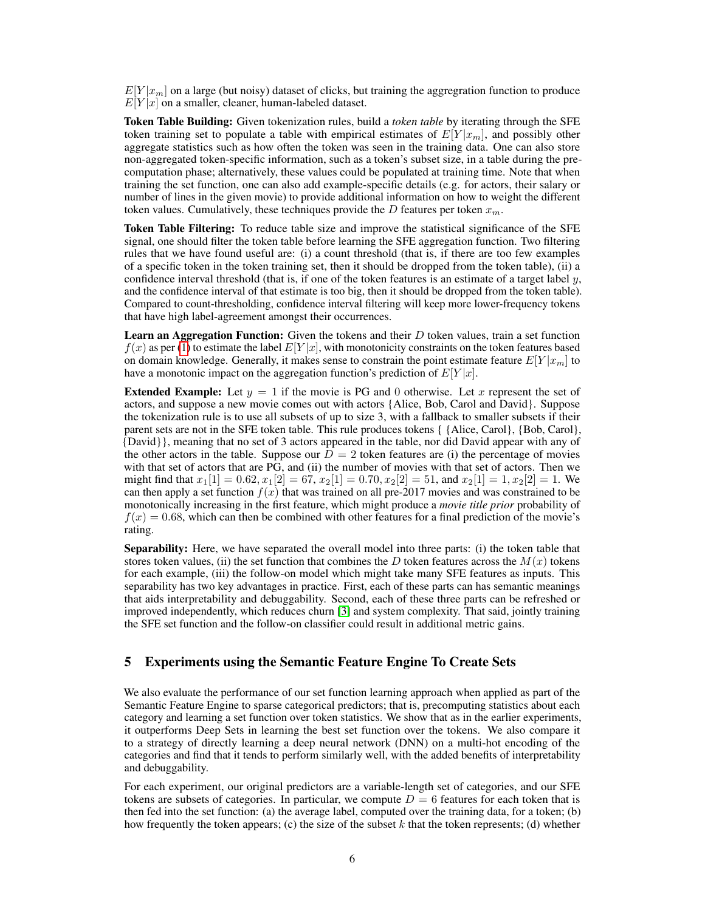$E[Y | x_m]$  on a large (but noisy) dataset of clicks, but training the aggregration function to produce  $E[Y|x]$  on a smaller, cleaner, human-labeled dataset.

Token Table Building: Given tokenization rules, build a *token table* by iterating through the SFE token training set to populate a table with empirical estimates of  $E[Y|x_m]$ , and possibly other aggregate statistics such as how often the token was seen in the training data. One can also store non-aggregated token-specific information, such as a token's subset size, in a table during the precomputation phase; alternatively, these values could be populated at training time. Note that when training the set function, one can also add example-specific details (e.g. for actors, their salary or number of lines in the given movie) to provide additional information on how to weight the different token values. Cumulatively, these techniques provide the D features per token  $x_m$ .

Token Table Filtering: To reduce table size and improve the statistical significance of the SFE signal, one should filter the token table before learning the SFE aggregation function. Two filtering rules that we have found useful are: (i) a count threshold (that is, if there are too few examples of a specific token in the token training set, then it should be dropped from the token table), (ii) a confidence interval threshold (that is, if one of the token features is an estimate of a target label  $y$ , and the confidence interval of that estimate is too big, then it should be dropped from the token table). Compared to count-thresholding, confidence interval filtering will keep more lower-frequency tokens that have high label-agreement amongst their occurrences.

**Learn an Aggregation Function:** Given the tokens and their  $D$  token values, train a set function  $f(x)$  as per [\(1\)](#page-0-0) to estimate the label  $E[Y|x]$ , with monotonicity constraints on the token features based on domain knowledge. Generally, it makes sense to constrain the point estimate feature  $E[Y|x_m]$  to have a monotonic impact on the aggregation function's prediction of  $E[Y|x]$ .

**Extended Example:** Let  $y = 1$  if the movie is PG and 0 otherwise. Let x represent the set of actors, and suppose a new movie comes out with actors {Alice, Bob, Carol and David}. Suppose the tokenization rule is to use all subsets of up to size 3, with a fallback to smaller subsets if their parent sets are not in the SFE token table. This rule produces tokens { {Alice, Carol}, {Bob, Carol}, {David}}, meaning that no set of 3 actors appeared in the table, nor did David appear with any of the other actors in the table. Suppose our  $D = 2$  token features are (i) the percentage of movies with that set of actors that are PG, and (ii) the number of movies with that set of actors. Then we might find that  $x_1[1] = 0.62, x_1[2] = 67, x_2[1] = 0.70, x_2[2] = 51$ , and  $x_2[1] = 1, x_2[2] = 1$ . We can then apply a set function  $f(x)$  that was trained on all pre-2017 movies and was constrained to be monotonically increasing in the first feature, which might produce a *movie title prior* probability of  $f(x) = 0.68$ , which can then be combined with other features for a final prediction of the movie's rating.

Separability: Here, we have separated the overall model into three parts: (i) the token table that stores token values, (ii) the set function that combines the D token features across the  $M(x)$  tokens for each example, (iii) the follow-on model which might take many SFE features as inputs. This separability has two key advantages in practice. First, each of these parts can has semantic meanings that aids interpretability and debuggability. Second, each of these three parts can be refreshed or improved independently, which reduces churn [\[3\]](#page-8-18) and system complexity. That said, jointly training the SFE set function and the follow-on classifier could result in additional metric gains.

# <span id="page-5-0"></span>5 Experiments using the Semantic Feature Engine To Create Sets

We also evaluate the performance of our set function learning approach when applied as part of the Semantic Feature Engine to sparse categorical predictors; that is, precomputing statistics about each category and learning a set function over token statistics. We show that as in the earlier experiments, it outperforms Deep Sets in learning the best set function over the tokens. We also compare it to a strategy of directly learning a deep neural network (DNN) on a multi-hot encoding of the categories and find that it tends to perform similarly well, with the added benefits of interpretability and debuggability.

For each experiment, our original predictors are a variable-length set of categories, and our SFE tokens are subsets of categories. In particular, we compute  $D = 6$  features for each token that is then fed into the set function: (a) the average label, computed over the training data, for a token; (b) how frequently the token appears; (c) the size of the subset  $k$  that the token represents; (d) whether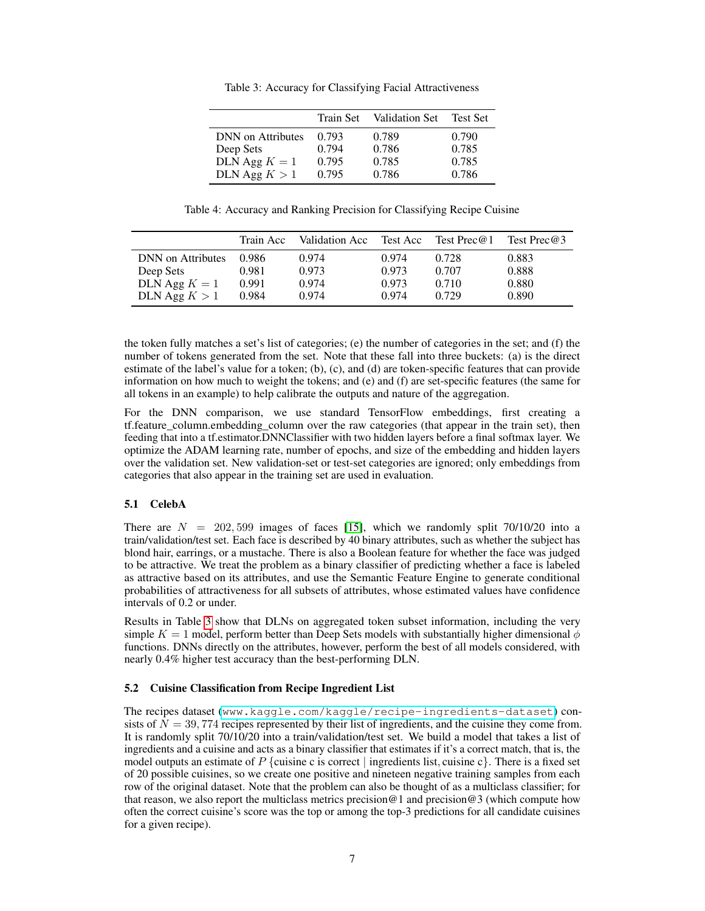<span id="page-6-0"></span>

|                          | Train Set | Validation Set | <b>Test Set</b> |
|--------------------------|-----------|----------------|-----------------|
| <b>DNN</b> on Attributes | 0.793     | 0.789          | 0.790           |
| Deep Sets                | 0.794     | 0.786          | 0.785           |
| DLN Agg $K = 1$          | 0.795     | 0.785          | 0.785           |
| DLN Agg $K > 1$          | 0.795     | 0.786          | 0.786           |

Table 3: Accuracy for Classifying Facial Attractiveness

Table 4: Accuracy and Ranking Precision for Classifying Recipe Cuisine

<span id="page-6-1"></span>

|                          | Train Acc | Validation Acc | Test Acc | Test Prec $@1$ | Test Prec $@3$ |
|--------------------------|-----------|----------------|----------|----------------|----------------|
| <b>DNN</b> on Attributes | 0.986     | 0.974          | 0.974    | 0.728          | 0.883          |
| Deep Sets                | 0.981     | 0.973          | 0.973    | 0.707          | 0.888          |
| DLN Agg $K = 1$          | 0.991     | 0.974          | 0.973    | 0.710          | 0.880          |
| DLN Agg $K > 1$          | 0.984     | 0.974          | 0.974    | 0.729          | 0.890          |

the token fully matches a set's list of categories; (e) the number of categories in the set; and (f) the number of tokens generated from the set. Note that these fall into three buckets: (a) is the direct estimate of the label's value for a token; (b), (c), and (d) are token-specific features that can provide information on how much to weight the tokens; and (e) and (f) are set-specific features (the same for all tokens in an example) to help calibrate the outputs and nature of the aggregation.

For the DNN comparison, we use standard TensorFlow embeddings, first creating a tf.feature\_column.embedding\_column over the raw categories (that appear in the train set), then feeding that into a tf.estimator.DNNClassifier with two hidden layers before a final softmax layer. We optimize the ADAM learning rate, number of epochs, and size of the embedding and hidden layers over the validation set. New validation-set or test-set categories are ignored; only embeddings from categories that also appear in the training set are used in evaluation.

# 5.1 CelebA

There are  $N = 202,599$  images of faces [\[15\]](#page-8-19), which we randomly split 70/10/20 into a train/validation/test set. Each face is described by 40 binary attributes, such as whether the subject has blond hair, earrings, or a mustache. There is also a Boolean feature for whether the face was judged to be attractive. We treat the problem as a binary classifier of predicting whether a face is labeled as attractive based on its attributes, and use the Semantic Feature Engine to generate conditional probabilities of attractiveness for all subsets of attributes, whose estimated values have confidence intervals of 0.2 or under.

Results in Table [3](#page-6-0) show that DLNs on aggregated token subset information, including the very simple  $K = 1$  model, perform better than Deep Sets models with substantially higher dimensional  $\phi$ functions. DNNs directly on the attributes, however, perform the best of all models considered, with nearly 0.4% higher test accuracy than the best-performing DLN.

### 5.2 Cuisine Classification from Recipe Ingredient List

The recipes dataset (<www.kaggle.com/kaggle/recipe-ingredients-dataset>) consists of  $N = 39,774$  recipes represented by their list of ingredients, and the cuisine they come from. It is randomly split 70/10/20 into a train/validation/test set. We build a model that takes a list of ingredients and a cuisine and acts as a binary classifier that estimates if it's a correct match, that is, the model outputs an estimate of P {cuisine c is correct | ingredients list, cuisine c}. There is a fixed set of 20 possible cuisines, so we create one positive and nineteen negative training samples from each row of the original dataset. Note that the problem can also be thought of as a multiclass classifier; for that reason, we also report the multiclass metrics precision  $@1$  and precision  $@3$  (which compute how often the correct cuisine's score was the top or among the top-3 predictions for all candidate cuisines for a given recipe).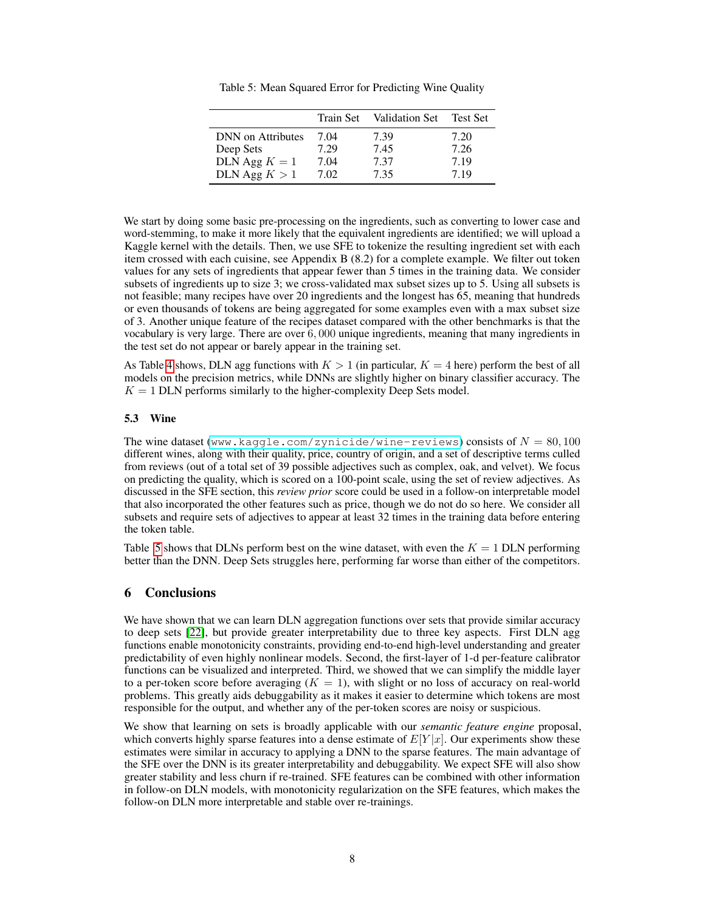<span id="page-7-0"></span>

|                          | Train Set | Validation Set | Test Set |
|--------------------------|-----------|----------------|----------|
| <b>DNN</b> on Attributes | 7.04      | 7.39           | 7.20     |
| Deep Sets                | 7.29      | 7.45           | 7.26     |
| DLN Agg $K = 1$          | 7.04      | 7.37           | 7.19     |
| DLN Agg $K > 1$          | 7.02      | 7.35           | 7.19     |

Table 5: Mean Squared Error for Predicting Wine Quality

We start by doing some basic pre-processing on the ingredients, such as converting to lower case and word-stemming, to make it more likely that the equivalent ingredients are identified; we will upload a Kaggle kernel with the details. Then, we use SFE to tokenize the resulting ingredient set with each item crossed with each cuisine, see Appendix B (8.2) for a complete example. We filter out token values for any sets of ingredients that appear fewer than 5 times in the training data. We consider subsets of ingredients up to size 3; we cross-validated max subset sizes up to 5. Using all subsets is not feasible; many recipes have over 20 ingredients and the longest has 65, meaning that hundreds or even thousands of tokens are being aggregated for some examples even with a max subset size of 3. Another unique feature of the recipes dataset compared with the other benchmarks is that the vocabulary is very large. There are over 6, 000 unique ingredients, meaning that many ingredients in the test set do not appear or barely appear in the training set.

As Table [4](#page-6-1) shows, DLN agg functions with  $K > 1$  (in particular,  $K = 4$  here) perform the best of all models on the precision metrics, while DNNs are slightly higher on binary classifier accuracy. The  $K = 1$  DLN performs similarly to the higher-complexity Deep Sets model.

### 5.3 Wine

The wine dataset (<www.kaggle.com/zynicide/wine-reviews>) consists of  $N = 80,100$ different wines, along with their quality, price, country of origin, and a set of descriptive terms culled from reviews (out of a total set of 39 possible adjectives such as complex, oak, and velvet). We focus on predicting the quality, which is scored on a 100-point scale, using the set of review adjectives. As discussed in the SFE section, this *review prior* score could be used in a follow-on interpretable model that also incorporated the other features such as price, though we do not do so here. We consider all subsets and require sets of adjectives to appear at least 32 times in the training data before entering the token table.

Table [5](#page-7-0) shows that DLNs perform best on the wine dataset, with even the  $K = 1$  DLN performing better than the DNN. Deep Sets struggles here, performing far worse than either of the competitors.

### 6 Conclusions

We have shown that we can learn DLN aggregation functions over sets that provide similar accuracy to deep sets [\[22\]](#page-8-0), but provide greater interpretability due to three key aspects. First DLN agg functions enable monotonicity constraints, providing end-to-end high-level understanding and greater predictability of even highly nonlinear models. Second, the first-layer of 1-d per-feature calibrator functions can be visualized and interpreted. Third, we showed that we can simplify the middle layer to a per-token score before averaging  $(K = 1)$ , with slight or no loss of accuracy on real-world problems. This greatly aids debuggability as it makes it easier to determine which tokens are most responsible for the output, and whether any of the per-token scores are noisy or suspicious.

We show that learning on sets is broadly applicable with our *semantic feature engine* proposal, which converts highly sparse features into a dense estimate of  $E[Y|x]$ . Our experiments show these estimates were similar in accuracy to applying a DNN to the sparse features. The main advantage of the SFE over the DNN is its greater interpretability and debuggability. We expect SFE will also show greater stability and less churn if re-trained. SFE features can be combined with other information in follow-on DLN models, with monotonicity regularization on the SFE features, which makes the follow-on DLN more interpretable and stable over re-trainings.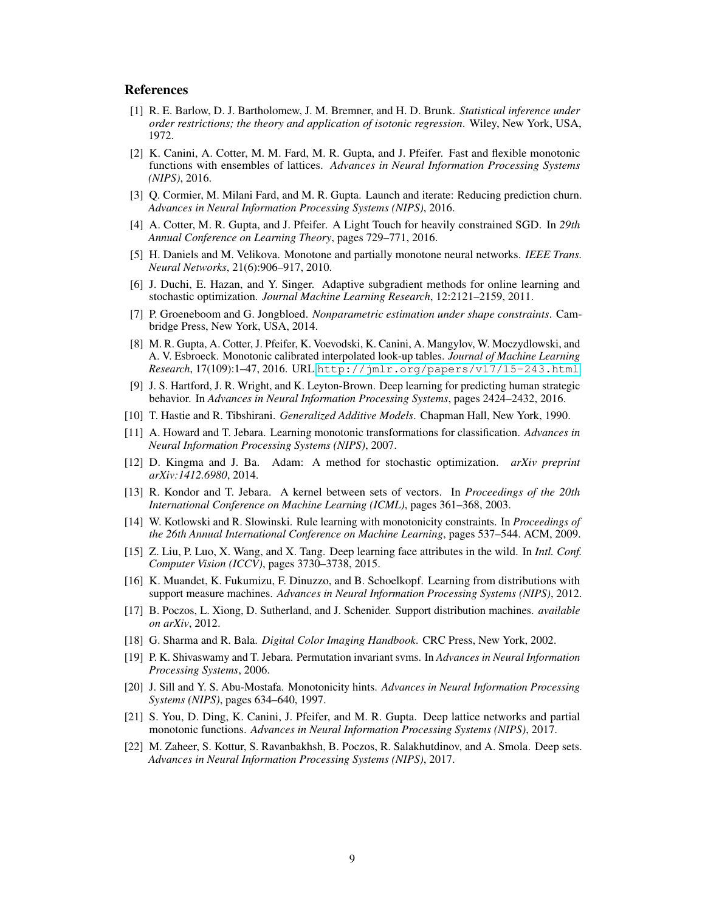### References

- <span id="page-8-12"></span>[1] R. E. Barlow, D. J. Bartholomew, J. M. Bremner, and H. D. Brunk. *Statistical inference under order restrictions; the theory and application of isotonic regression*. Wiley, New York, USA, 1972.
- <span id="page-8-16"></span>[2] K. Canini, A. Cotter, M. M. Fard, M. R. Gupta, and J. Pfeifer. Fast and flexible monotonic functions with ensembles of lattices. *Advances in Neural Information Processing Systems (NIPS)*, 2016.
- <span id="page-8-18"></span>[3] Q. Cormier, M. Milani Fard, and M. R. Gupta. Launch and iterate: Reducing prediction churn. *Advances in Neural Information Processing Systems (NIPS)*, 2016.
- <span id="page-8-20"></span>[4] A. Cotter, M. R. Gupta, and J. Pfeifer. A Light Touch for heavily constrained SGD. In *29th Annual Conference on Learning Theory*, pages 729–771, 2016.
- <span id="page-8-13"></span>[5] H. Daniels and M. Velikova. Monotone and partially monotone neural networks. *IEEE Trans. Neural Networks*, 21(6):906–917, 2010.
- <span id="page-8-21"></span>[6] J. Duchi, E. Hazan, and Y. Singer. Adaptive subgradient methods for online learning and stochastic optimization. *Journal Machine Learning Research*, 12:2121–2159, 2011.
- <span id="page-8-11"></span>[7] P. Groeneboom and G. Jongbloed. *Nonparametric estimation under shape constraints*. Cambridge Press, New York, USA, 2014.
- <span id="page-8-9"></span>[8] M. R. Gupta, A. Cotter, J. Pfeifer, K. Voevodski, K. Canini, A. Mangylov, W. Moczydlowski, and A. V. Esbroeck. Monotonic calibrated interpolated look-up tables. *Journal of Machine Learning Research*, 17(109):1–47, 2016. URL <http://jmlr.org/papers/v17/15-243.html>.
- <span id="page-8-5"></span>[9] J. S. Hartford, J. R. Wright, and K. Leyton-Brown. Deep learning for predicting human strategic behavior. In *Advances in Neural Information Processing Systems*, pages 2424–2432, 2016.
- <span id="page-8-10"></span>[10] T. Hastie and R. Tibshirani. *Generalized Additive Models*. Chapman Hall, New York, 1990.
- <span id="page-8-8"></span>[11] A. Howard and T. Jebara. Learning monotonic transformations for classification. *Advances in Neural Information Processing Systems (NIPS)*, 2007.
- <span id="page-8-17"></span>[12] D. Kingma and J. Ba. Adam: A method for stochastic optimization. *arXiv preprint arXiv:1412.6980*, 2014.
- <span id="page-8-3"></span>[13] R. Kondor and T. Jebara. A kernel between sets of vectors. In *Proceedings of the 20th International Conference on Machine Learning (ICML)*, pages 361–368, 2003.
- <span id="page-8-15"></span>[14] W. Kotlowski and R. Slowinski. Rule learning with monotonicity constraints. In *Proceedings of the 26th Annual International Conference on Machine Learning*, pages 537–544. ACM, 2009.
- <span id="page-8-19"></span>[15] Z. Liu, P. Luo, X. Wang, and X. Tang. Deep learning face attributes in the wild. In *Intl. Conf. Computer Vision (ICCV)*, pages 3730–3738, 2015.
- <span id="page-8-1"></span>[16] K. Muandet, K. Fukumizu, F. Dinuzzo, and B. Schoelkopf. Learning from distributions with support measure machines. *Advances in Neural Information Processing Systems (NIPS)*, 2012.
- <span id="page-8-2"></span>[17] B. Poczos, L. Xiong, D. Sutherland, and J. Schenider. Support distribution machines. *available on arXiv*, 2012.
- <span id="page-8-7"></span>[18] G. Sharma and R. Bala. *Digital Color Imaging Handbook*. CRC Press, New York, 2002.
- <span id="page-8-4"></span>[19] P. K. Shivaswamy and T. Jebara. Permutation invariant svms. In *Advances in Neural Information Processing Systems*, 2006.
- <span id="page-8-14"></span>[20] J. Sill and Y. S. Abu-Mostafa. Monotonicity hints. *Advances in Neural Information Processing Systems (NIPS)*, pages 634–640, 1997.
- <span id="page-8-6"></span>[21] S. You, D. Ding, K. Canini, J. Pfeifer, and M. R. Gupta. Deep lattice networks and partial monotonic functions. *Advances in Neural Information Processing Systems (NIPS)*, 2017.
- <span id="page-8-0"></span>[22] M. Zaheer, S. Kottur, S. Ravanbakhsh, B. Poczos, R. Salakhutdinov, and A. Smola. Deep sets. *Advances in Neural Information Processing Systems (NIPS)*, 2017.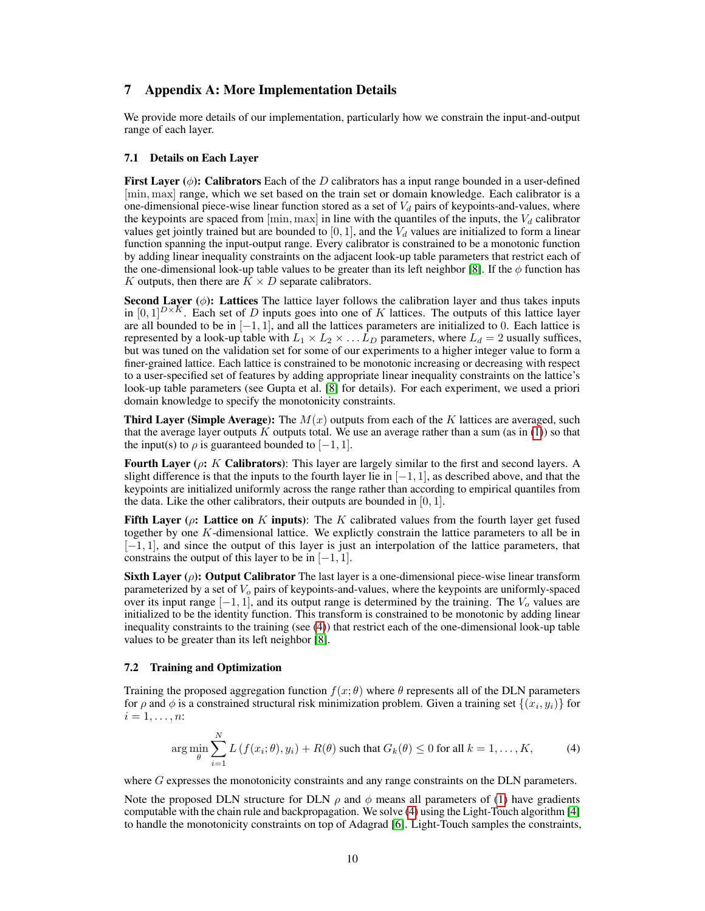# 7 Appendix A: More Implementation Details

We provide more details of our implementation, particularly how we constrain the input-and-output range of each layer.

### 7.1 Details on Each Layer

First Layer ( $\phi$ ): Calibrators Each of the D calibrators has a input range bounded in a user-defined [min, max] range, which we set based on the train set or domain knowledge. Each calibrator is a one-dimensional piece-wise linear function stored as a set of  $V_d$  pairs of keypoints-and-values, where the keypoints are spaced from  $[\min, \max]$  in line with the quantiles of the inputs, the  $V_d$  calibrator values get jointly trained but are bounded to [0, 1], and the  $V_d$  values are initialized to form a linear function spanning the input-output range. Every calibrator is constrained to be a monotonic function by adding linear inequality constraints on the adjacent look-up table parameters that restrict each of the one-dimensional look-up table values to be greater than its left neighbor [\[8\]](#page-8-9). If the  $\phi$  function has K outputs, then there are  $K \times D$  separate calibrators.

**Second Layer** ( $\phi$ ): Lattices The lattice layer follows the calibration layer and thus takes inputs in  $[0,1]^{D\times K}$ . Each set of D inputs goes into one of K lattices. The outputs of this lattice layer are all bounded to be in  $[-1, 1]$ , and all the lattices parameters are initialized to 0. Each lattice is represented by a look-up table with  $L_1 \times L_2 \times \ldots L_D$  parameters, where  $L_d = 2$  usually suffices, but was tuned on the validation set for some of our experiments to a higher integer value to form a finer-grained lattice. Each lattice is constrained to be monotonic increasing or decreasing with respect to a user-specified set of features by adding appropriate linear inequality constraints on the lattice's look-up table parameters (see Gupta et al. [\[8\]](#page-8-9) for details). For each experiment, we used a priori domain knowledge to specify the monotonicity constraints.

**Third Layer (Simple Average):** The  $M(x)$  outputs from each of the K lattices are averaged, such that the average layer outputs  $K$  outputs total. We use an average rather than a sum (as in [\(1\)](#page-0-0)) so that the input(s) to  $\rho$  is guaranteed bounded to [−1, 1].

**Fourth Layer (** $\rho$ **:** K **Calibrators**): This layer are largely similar to the first and second layers. A slight difference is that the inputs to the fourth layer lie in  $[-1, 1]$ , as described above, and that the keypoints are initialized uniformly across the range rather than according to empirical quantiles from the data. Like the other calibrators, their outputs are bounded in  $[0, 1]$ .

Fifth Layer ( $\rho$ : Lattice on K inputs): The K calibrated values from the fourth layer get fused together by one K-dimensional lattice. We explictly constrain the lattice parameters to all be in [−1, 1], and since the output of this layer is just an interpolation of the lattice parameters, that constrains the output of this layer to be in  $[-1, 1]$ .

**Sixth Layer (** $\rho$ **): Output Calibrator** The last layer is a one-dimensional piece-wise linear transform parameterized by a set of  $V<sub>o</sub>$  pairs of keypoints-and-values, where the keypoints are uniformly-spaced over its input range  $[-1, 1]$ , and its output range is determined by the training. The  $V_0$  values are initialized to be the identity function. This transform is constrained to be monotonic by adding linear inequality constraints to the training (see [\(4\)](#page-9-0)) that restrict each of the one-dimensional look-up table values to be greater than its left neighbor [\[8\]](#page-8-9).

#### 7.2 Training and Optimization

Training the proposed aggregation function  $f(x; \theta)$  where  $\theta$  represents all of the DLN parameters for  $\rho$  and  $\phi$  is a constrained structural risk minimization problem. Given a training set  $\{(x_i, y_i)\}$  for  $i=1,\ldots,n$ :

<span id="page-9-0"></span>
$$
\arg\min_{\theta} \sum_{i=1}^{N} L\left(f(x_i; \theta), y_i\right) + R(\theta) \text{ such that } G_k(\theta) \le 0 \text{ for all } k = 1, \dots, K,
$$
 (4)

where G expresses the monotonicity constraints and any range constraints on the DLN parameters.

Note the proposed DLN structure for DLN  $\rho$  and  $\phi$  means all parameters of [\(1\)](#page-0-0) have gradients computable with the chain rule and backpropagation. We solve [\(4\)](#page-9-0) using the Light-Touch algorithm [\[4\]](#page-8-20) to handle the monotonicity constraints on top of Adagrad [\[6\]](#page-8-21). Light-Touch samples the constraints,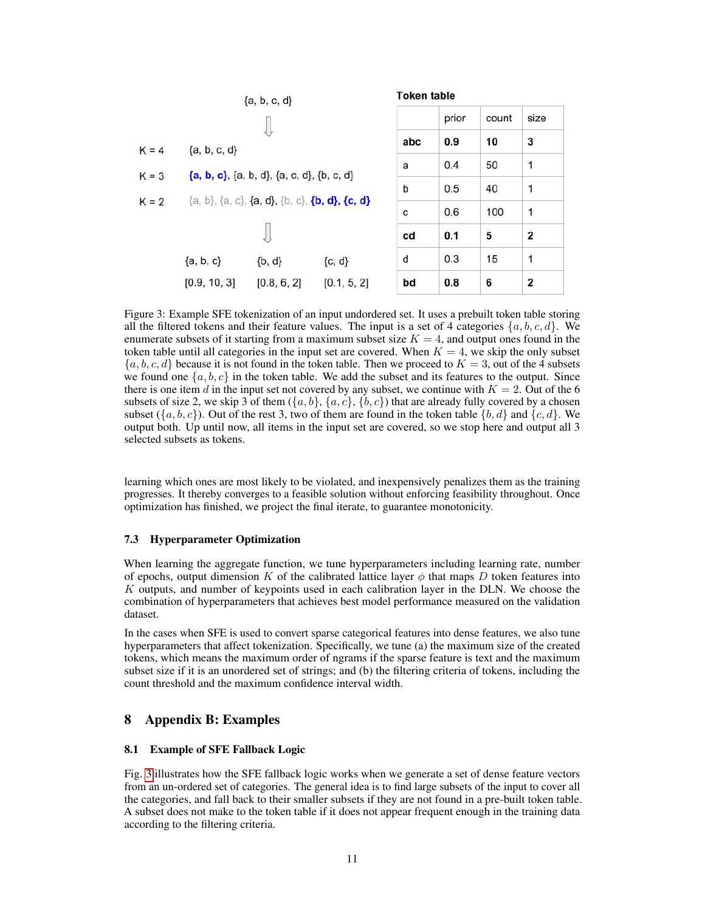<span id="page-10-0"></span>

|         | ${a, b, c, d}$ |                                                |             | <b>Token table</b> |       |       |                         |  |  |
|---------|----------------|------------------------------------------------|-------------|--------------------|-------|-------|-------------------------|--|--|
|         |                |                                                |             |                    | prior | count | size                    |  |  |
| $K = 4$ | ${a, b, c, d}$ |                                                |             | abc                | 0.9   | 10    | 3                       |  |  |
| $K = 3$ |                | ${a, b, c}, {a, b, d}, {a, c, d}, {b, c, d}$   |             | a                  | 0.4   | 50    | 1                       |  |  |
|         |                |                                                |             | b                  | 0.5   | 40    | 1                       |  |  |
| $K = 2$ |                | {a, b}, {a, c}, {a, d}, {b, c}, {b, d}, {c, d} |             | C                  | 0.6   | 100   | 1                       |  |  |
|         |                |                                                |             | cd                 | 0.1   | 5     | $\overline{\mathbf{2}}$ |  |  |
|         | ${a, b, c}$    | $\{b, d\}$                                     | ${c, d}$    | d                  | 0.3   | 15    | 1                       |  |  |
|         | [0.9, 10, 3]   | [0.8, 6, 2]                                    | [0.1, 5, 2] | bd                 | 0.8   | 6     | 2                       |  |  |

Figure 3: Example SFE tokenization of an input undordered set. It uses a prebuilt token table storing all the filtered tokens and their feature values. The input is a set of 4 categories  $\{a, b, c, d\}$ . We enumerate subsets of it starting from a maximum subset size  $K = 4$ , and output ones found in the token table until all categories in the input set are covered. When  $K = 4$ , we skip the only subset  $\{a, b, c, d\}$  because it is not found in the token table. Then we proceed to  $K = 3$ , out of the 4 subsets we found one  $\{a, b, c\}$  in the token table. We add the subset and its features to the output. Since there is one item d in the input set not covered by any subset, we continue with  $K = 2$ . Out of the 6 subsets of size 2, we skip 3 of them  $(\{a, b\}, \{a, c\}, \{b, c\})$  that are already fully covered by a chosen subset  $({a, b, c})$ . Out of the rest 3, two of them are found in the token table  ${b, d}$  and  ${c, d}$ . We output both. Up until now, all items in the input set are covered, so we stop here and output all 3 selected subsets as tokens.

learning which ones are most likely to be violated, and inexpensively penalizes them as the training progresses. It thereby converges to a feasible solution without enforcing feasibility throughout. Once optimization has finished, we project the final iterate, to guarantee monotonicity.

### 7.3 Hyperparameter Optimization

When learning the aggregate function, we tune hyperparameters including learning rate, number of epochs, output dimension K of the calibrated lattice layer  $\phi$  that maps D token features into K outputs, and number of keypoints used in each calibration layer in the DLN. We choose the combination of hyperparameters that achieves best model performance measured on the validation dataset.

In the cases when SFE is used to convert sparse categorical features into dense features, we also tune hyperparameters that affect tokenization. Specifically, we tune (a) the maximum size of the created tokens, which means the maximum order of ngrams if the sparse feature is text and the maximum subset size if it is an unordered set of strings; and (b) the filtering criteria of tokens, including the count threshold and the maximum confidence interval width.

# 8 Appendix B: Examples

### 8.1 Example of SFE Fallback Logic

Fig. [3](#page-10-0) illustrates how the SFE fallback logic works when we generate a set of dense feature vectors from an un-ordered set of categories. The general idea is to find large subsets of the input to cover all the categories, and fall back to their smaller subsets if they are not found in a pre-built token table. A subset does not make to the token table if it does not appear frequent enough in the training data according to the filtering criteria.